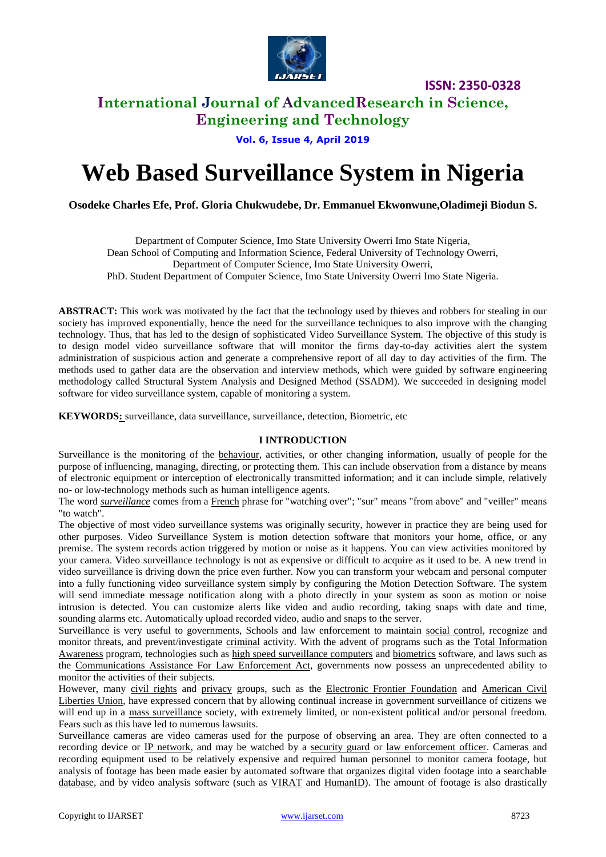

# **International Journal of AdvancedResearch in Science,**

**Engineering and Technology**

**Vol. 6, Issue 4, April 2019**

# **Web Based Surveillance System in Nigeria**

**Osodeke Charles Efe, Prof. Gloria Chukwudebe, Dr. Emmanuel Ekwonwune,Oladimeji Biodun S.**

Department of Computer Science, Imo State University Owerri Imo State Nigeria, Dean School of Computing and Information Science, Federal University of Technology Owerri, Department of Computer Science, Imo State University Owerri, PhD. Student Department of Computer Science, Imo State University Owerri Imo State Nigeria.

**ABSTRACT:** This work was motivated by the fact that the technology used by thieves and robbers for stealing in our society has improved exponentially, hence the need for the surveillance techniques to also improve with the changing technology. Thus, that has led to the design of sophisticated Video Surveillance System. The objective of this study is to design model video surveillance software that will monitor the firms day-to-day activities alert the system administration of suspicious action and generate a comprehensive report of all day to day activities of the firm. The methods used to gather data are the observation and interview methods, which were guided by software engineering methodology called Structural System Analysis and Designed Method (SSADM). We succeeded in designing model software for video surveillance system, capable of monitoring a system.

**KEYWORDS:** [surveillance,](file:\\en.wiktionary.org\wiki\surveillance) data surveillance, surveillance, detection, Biometric, etc

#### **I INTRODUCTION**

Surveillance is the monitoring of the [behaviour,](file:///C:\wiki\Behavior) activities, or other changing information, usually of people for the purpose of influencing, managing, directing, or protecting them. This can include observation from a distance by means of electronic equipment or interception of electronically transmitted information; and it can include simple, relatively no- or low-technology methods such as human intelligence agents.

The word *[surveillance](file:\\en.wiktionary.org\wiki\surveillance)* comes from a [French](file:///C:\wiki\French_language) phrase for "watching over"; "sur" means "from above" and "veiller" means "to watch".

The objective of most video surveillance systems was originally security, however in practice they are being used for other purposes. Video Surveillance System is motion detection software that monitors your home, office, or any premise. The system records action triggered by motion or noise as it happens. You can view activities monitored by your camera. Video surveillance technology is not as expensive or difficult to acquire as it used to be. A new trend in video surveillance is driving down the price even further. Now you can transform your webcam and personal computer into a fully functioning video surveillance system simply by configuring the Motion Detection Software. The system will send immediate message notification along with a photo directly in your system as soon as motion or noise intrusion is detected. You can customize alerts like video and audio recording, taking snaps with date and time, sounding alarms etc. Automatically upload recorded video, audio and snaps to the server.

Surveillance is very useful to governments, Schools and law enforcement to maintain [social control,](file:///C:\wiki\Social_control) recognize and monitor threats, and prevent/investigate [criminal](file:///C:\wiki\Criminal) activity. With the advent of programs such as the [Total Information](file:///C:\wiki\Total_Information_Awareness)  [Awareness](file:///C:\wiki\Total_Information_Awareness) program, technologies such as [high speed surveillance computers](file:///C:\wiki\NarusInsight) and [biometrics](file:///C:\wiki\Surveillance%23Biometric_surveillance) software, and laws such as the [Communications Assistance For Law Enforcement Act,](file:///C:\wiki\Communications_Assistance_For_Law_Enforcement_Act) governments now possess an unprecedented ability to monitor the activities of their subjects.

However, many [civil rights](file:///C:\wiki\Civil_rights) and [privacy](file:///C:\wiki\Privacy) groups, such as the [Electronic Frontier Foundation](file:///C:\wiki\Electronic_Frontier_Foundation) and American Civil [Liberties Union,](file:///C:\wiki\American_Civil_Liberties_Union) have expressed concern that by allowing continual increase in government surveillance of citizens we will end up in a [mass surveillance](file:///C:\wiki\Mass_surveillance) society, with extremely limited, or non-existent political and/or personal freedom. Fears such as this have led to numerous lawsuits.

Surveillance cameras are video cameras used for the purpose of observing an area. They are often connected to a recording device or [IP network,](file:///C:\wiki\IP_network) and may be watched by a [security guard](file:///C:\wiki\Security_guard) or [law enforcement officer.](file:///C:\wiki\Law_enforcement_officer) Cameras and recording equipment used to be relatively expensive and required human personnel to monitor camera footage, but analysis of footage has been made easier by automated software that organizes digital video footage into a searchable [database,](file:///C:\wiki\Database) and by video analysis software (such as [VIRAT](file:///C:\wiki\VIRAT) and [HumanID\)](file:///C:\wiki\Human_Identification_at_a_Distance). The amount of footage is also drastically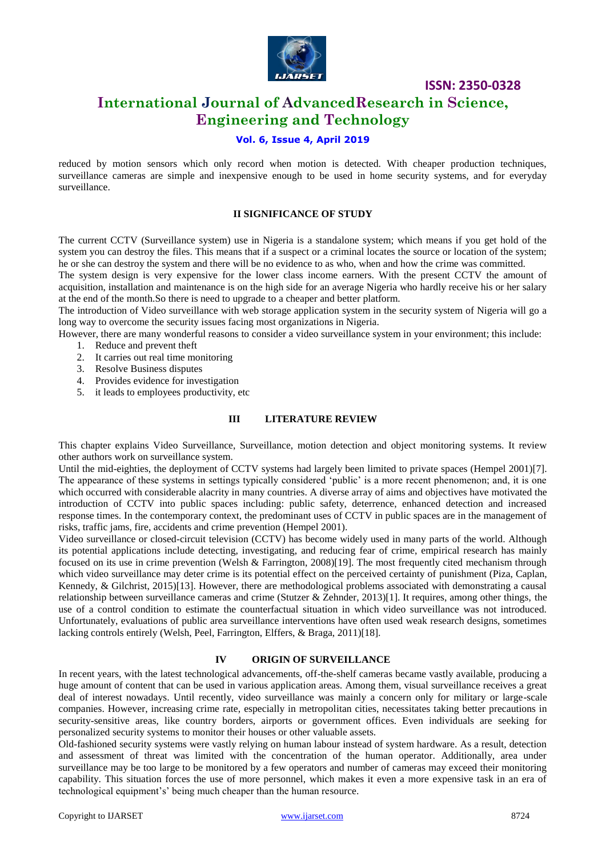

# **International Journal of AdvancedResearch in Science, Engineering and Technology**

### **Vol. 6, Issue 4, April 2019**

reduced by motion sensors which only record when motion is detected. With cheaper production techniques, surveillance cameras are simple and inexpensive enough to be used in home security systems, and for everyday surveillance.

#### **II SIGNIFICANCE OF STUDY**

The current CCTV (Surveillance system) use in Nigeria is a standalone system; which means if you get hold of the system you can destroy the files. This means that if a suspect or a criminal locates the source or location of the system; he or she can destroy the system and there will be no evidence to as who, when and how the crime was committed.

The system design is very expensive for the lower class income earners. With the present CCTV the amount of acquisition, installation and maintenance is on the high side for an average Nigeria who hardly receive his or her salary at the end of the month.So there is need to upgrade to a cheaper and better platform.

The introduction of Video surveillance with web storage application system in the security system of Nigeria will go a long way to overcome the security issues facing most organizations in Nigeria.

However, there are many wonderful reasons to consider a video surveillance system in your environment; this include:

- 1. Reduce and prevent theft
- 2. It carries out real time monitoring
- 3. Resolve Business disputes
- 4. Provides evidence for investigation
- 5. it leads to employees productivity, etc

#### **III LITERATURE REVIEW**

This chapter explains Video Surveillance, Surveillance, motion detection and object monitoring systems. It review other authors work on surveillance system.

Until the mid-eighties, the deployment of CCTV systems had largely been limited to private spaces (Hempel 2001)[7]. The appearance of these systems in settings typically considered 'public' is a more recent phenomenon; and, it is one which occurred with considerable alacrity in many countries. A diverse array of aims and objectives have motivated the introduction of CCTV into public spaces including: public safety, deterrence, enhanced detection and increased response times. In the contemporary context, the predominant uses of CCTV in public spaces are in the management of risks, traffic jams, fire, accidents and crime prevention (Hempel 2001).

Video surveillance or closed-circuit television (CCTV) has become widely used in many parts of the world. Although its potential applications include detecting, investigating, and reducing fear of crime, empirical research has mainly focused on its use in crime prevention (Welsh & Farrington, 2008)[19]. The most frequently cited mechanism through which video surveillance may deter crime is its potential effect on the perceived certainty of punishment (Piza, Caplan, Kennedy, & Gilchrist, 2015)[13]. However, there are methodological problems associated with demonstrating a causal relationship between surveillance cameras and crime (Stutzer & Zehnder, 2013)[1]. It requires, among other things, the use of a control condition to estimate the counterfactual situation in which video surveillance was not introduced. Unfortunately, evaluations of public area surveillance interventions have often used weak research designs, sometimes lacking controls entirely (Welsh, Peel, Farrington, Elffers, & Braga, 2011)[18].

#### **IV ORIGIN OF SURVEILLANCE**

In recent years, with the latest technological advancements, off-the-shelf cameras became vastly available, producing a huge amount of content that can be used in various application areas. Among them, visual surveillance receives a great deal of interest nowadays. Until recently, video surveillance was mainly a concern only for military or large-scale companies. However, increasing crime rate, especially in metropolitan cities, necessitates taking better precautions in security-sensitive areas, like country borders, airports or government offices. Even individuals are seeking for personalized security systems to monitor their houses or other valuable assets.

Old-fashioned security systems were vastly relying on human labour instead of system hardware. As a result, detection and assessment of threat was limited with the concentration of the human operator. Additionally, area under surveillance may be too large to be monitored by a few operators and number of cameras may exceed their monitoring capability. This situation forces the use of more personnel, which makes it even a more expensive task in an era of technological equipment's' being much cheaper than the human resource.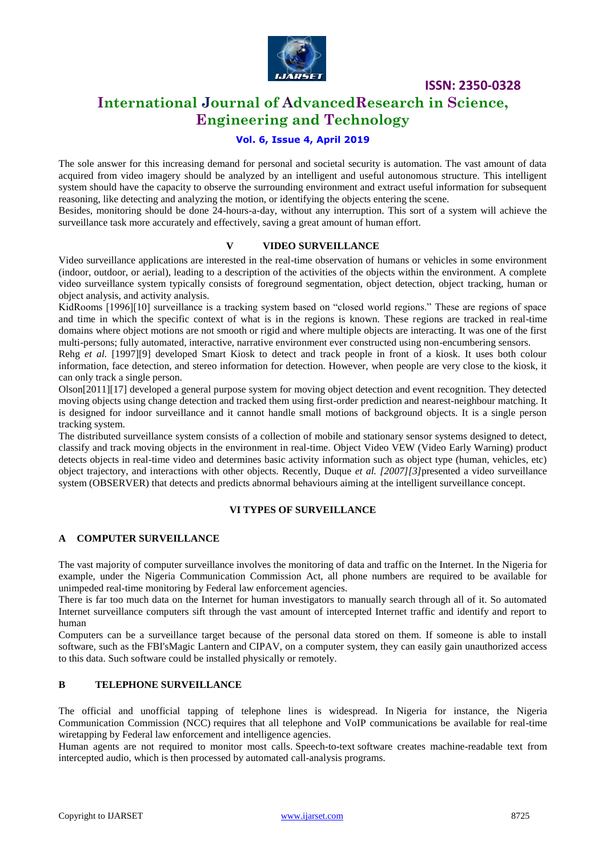

# **International Journal of AdvancedResearch in Science, Engineering and Technology**

## **Vol. 6, Issue 4, April 2019**

The sole answer for this increasing demand for personal and societal security is automation. The vast amount of data acquired from video imagery should be analyzed by an intelligent and useful autonomous structure. This intelligent system should have the capacity to observe the surrounding environment and extract useful information for subsequent reasoning, like detecting and analyzing the motion, or identifying the objects entering the scene.

Besides, monitoring should be done 24-hours-a-day, without any interruption. This sort of a system will achieve the surveillance task more accurately and effectively, saving a great amount of human effort.

### **V VIDEO SURVEILLANCE**

Video surveillance applications are interested in the real-time observation of humans or vehicles in some environment (indoor, outdoor, or aerial), leading to a description of the activities of the objects within the environment. A complete video surveillance system typically consists of foreground segmentation, object detection, object tracking, human or object analysis, and activity analysis.

KidRooms [1996][10] surveillance is a tracking system based on "closed world regions." These are regions of space and time in which the specific context of what is in the regions is known. These regions are tracked in real-time domains where object motions are not smooth or rigid and where multiple objects are interacting. It was one of the first multi-persons; fully automated, interactive, narrative environment ever constructed using non-encumbering sensors.

Rehg *et al.* [1997][9] developed Smart Kiosk to detect and track people in front of a kiosk. It uses both colour information, face detection, and stereo information for detection. However, when people are very close to the kiosk, it can only track a single person.

Olson[2011][17] developed a general purpose system for moving object detection and event recognition. They detected moving objects using change detection and tracked them using first-order prediction and nearest-neighbour matching. It is designed for indoor surveillance and it cannot handle small motions of background objects. It is a single person tracking system.

The distributed surveillance system consists of a collection of mobile and stationary sensor systems designed to detect, classify and track moving objects in the environment in real-time. Object Video VEW (Video Early Warning) product detects objects in real-time video and determines basic activity information such as object type (human, vehicles, etc) object trajectory, and interactions with other objects. Recently, Duque *et al. [2007][3]*presented a video surveillance system (OBSERVER) that detects and predicts abnormal behaviours aiming at the intelligent surveillance concept.

#### **VI TYPES OF SURVEILLANCE**

#### **A COMPUTER SURVEILLANCE**

The vast majority of computer surveillance involves the monitoring of [data](http://en.wikipedia.org/wiki/Data_mining) and [traffic](http://en.wikipedia.org/wiki/Traffic_analysis) on the [Internet.](http://en.wikipedia.org/wiki/Internet) In the Nigeria for example, under the Nigeria Communication Commission Act, all phone numbers are required to be available for unimpeded real-time monitoring by Federal law enforcement agencies.

There is far too much data on the Internet for human investigators to manually search through all of it. So automated Internet surveillance computers sift through the vast amount of intercepted Internet traffic and identify and report to human

Computers can be a surveillance target because of the personal data stored on them. If someone is able to install software, such as the FBI'[sMagic Lantern](http://en.wikipedia.org/wiki/Magic_Lantern_(software)) and [CIPAV,](http://en.wikipedia.org/wiki/CIPAV) on a computer system, they can easily gain unauthorized access to this data. Such software could be installed physically or remotely.

# **B TELEPHONE SURVEILLANCE**

The official and unofficial tapping of telephone lines is widespread. In Nigeria for instance, the Nigeria Communication Commission (NCC) requires that all telephone and VoIP communications be available for real-time wiretapping by Federal law enforcement and intelligence agencies.

Human agents are not required to monitor most calls. [Speech-to-text](http://en.wikipedia.org/wiki/Speech-to-text) software creates machine-readable text from intercepted audio, which is then processed by automated call-analysis programs.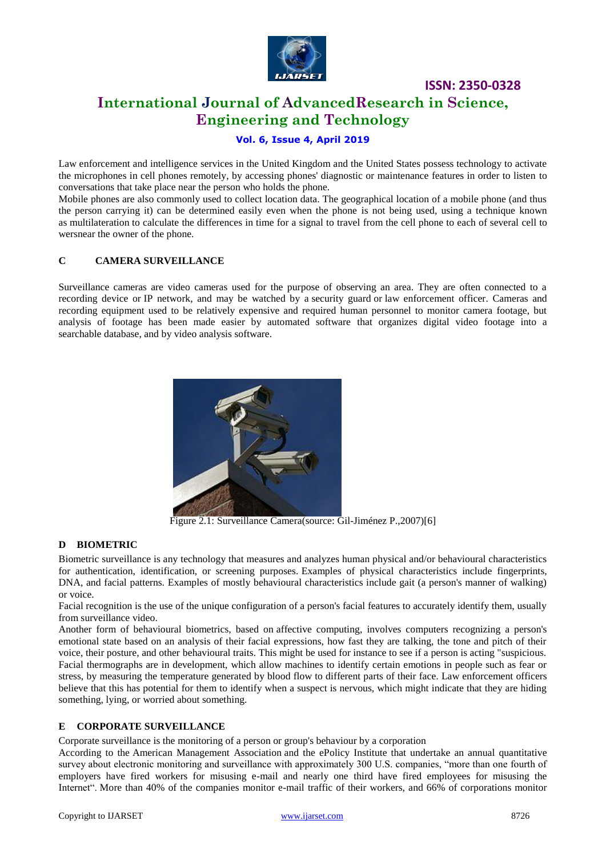

# **International Journal of AdvancedResearch in Science, Engineering and Technology**

# **Vol. 6, Issue 4, April 2019**

Law enforcement and intelligence services in the United Kingdom and the United States possess technology to activate the microphones in cell phones remotely, by accessing phones' diagnostic or maintenance features in order to listen to conversations that take place near the person who holds the phone.

Mobile phones are also commonly used to collect location data. The geographical location of a mobile phone (and thus the person carrying it) can be determined easily even when the phone is not being used, using a technique known as [multilateration](http://en.wikipedia.org/wiki/Multilateration) to calculate the differences in time for a signal to travel from the cell phone to each of several [cell to](http://en.wikipedia.org/wiki/Cell_towers) [wersn](http://en.wikipedia.org/wiki/Cell_towers)ear the owner of the phone.

### **C CAMERA SURVEILLANCE**

Surveillance cameras are video cameras used for the purpose of observing an area. They are often connected to a recording device or [IP network,](http://en.wikipedia.org/wiki/IP_network) and may be watched by a [security guard](http://en.wikipedia.org/wiki/Security_guard) or [law enforcement officer.](http://en.wikipedia.org/wiki/Law_enforcement_officer) Cameras and recording equipment used to be relatively expensive and required human personnel to monitor camera footage, but analysis of footage has been made easier by automated software that organizes digital video footage into a searchable [database,](http://en.wikipedia.org/wiki/Database) and by video analysis software.



Figure 2.1: Surveillance Camera(source: Gil-Jiménez P.,2007)[6]

#### **D BIOMETRIC**

Biometric surveillance is any technology that measures and analyzes human physical and/or behavioural characteristics for authentication, identification, or screening purposes. Examples of physical characteristics include fingerprints, DNA, and facial patterns. Examples of mostly behavioural characteristics include gait (a person's manner of walking) or voice.

[Facial recognition](http://en.wikipedia.org/wiki/Facial_recognition_system) is the use of the unique configuration of a person's facial features to accurately identify them, usually from surveillance video.

Another form of behavioural biometrics, based on [affective computing,](http://en.wikipedia.org/wiki/Affective_computing) involves computers recognizing a person's emotional state based on an analysis of their facial expressions, how fast they are talking, the tone and pitch of their voice, their posture, and other behavioural traits. This might be used for instance to see if a person is acting "suspicious. Facial thermographs are in development, which allow machines to identify certain emotions in people such as fear or stress, by measuring the temperature generated by blood flow to different parts of their face. Law enforcement officers believe that this has potential for them to identify when a suspect is nervous, which might indicate that they are hiding something, lying, or worried about something.

#### **E CORPORATE SURVEILLANCE**

Corporate surveillance is the monitoring of a person or group's behaviour by a corporation

According to the [American Management Association](http://en.wikipedia.org/wiki/American_Management_Association) and the ePolicy Institute that undertake an annual quantitative survey about electronic monitoring and surveillance with approximately 300 U.S. companies, "more than one fourth of employers have fired workers for misusing e-mail and nearly one third have fired employees for misusing the Internet". More than 40% of the companies monitor e-mail traffic of their workers, and 66% of corporations monitor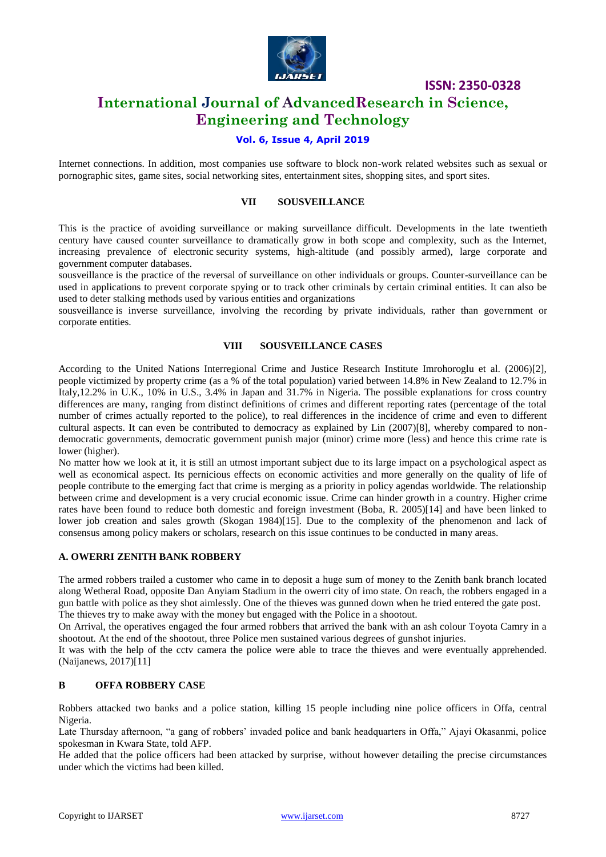

# **International Journal of AdvancedResearch in Science, Engineering and Technology**

### **Vol. 6, Issue 4, April 2019**

Internet connections. In addition, most companies use software to block non-work related websites such as sexual or pornographic sites, game sites, social networking sites, entertainment sites, shopping sites, and sport sites.

#### **VII SOUSVEILLANCE**

This is the practice of avoiding surveillance or making surveillance difficult. Developments in the late twentieth century have caused counter surveillance to dramatically grow in both scope and complexity, such as the Internet, increasing prevalence of electronic [security systems,](http://en.wikipedia.org/wiki/Security_systems) high-altitude (and possibly armed), large corporate and government computer databases.

sousveillance is the practice of the reversal of surveillance on other individuals or groups. Counter-surveillance can be used in applications to prevent corporate spying or to track other criminals by certain criminal entities. It can also be used to deter stalking methods used by various entities and organizations

sousveillance is inverse surveillance, involving the recording by private individuals, rather than government or corporate entities.

#### **VIII SOUSVEILLANCE CASES**

According to the United Nations Interregional Crime and Justice Research Institute Imrohoroglu et al. (2006)[2], people victimized by property crime (as a % of the total population) varied between 14.8% in New Zealand to 12.7% in Italy,12.2% in U.K., 10% in U.S., 3.4% in Japan and 31.7% in Nigeria. The possible explanations for cross country differences are many, ranging from distinct definitions of crimes and different reporting rates (percentage of the total number of crimes actually reported to the police), to real differences in the incidence of crime and even to different cultural aspects. It can even be contributed to democracy as explained by Lin (2007)[8], whereby compared to nondemocratic governments, democratic government punish major (minor) crime more (less) and hence this crime rate is lower (higher).

No matter how we look at it, it is still an utmost important subject due to its large impact on a psychological aspect as well as economical aspect. Its pernicious effects on economic activities and more generally on the quality of life of people contribute to the emerging fact that crime is merging as a priority in policy agendas worldwide. The relationship between crime and development is a very crucial economic issue. Crime can hinder growth in a country. Higher crime rates have been found to reduce both domestic and foreign investment (Boba, R. 2005)[14] and have been linked to lower job creation and sales growth (Skogan 1984)[15]. Due to the complexity of the phenomenon and lack of consensus among policy makers or scholars, research on this issue continues to be conducted in many areas.

#### **A. OWERRI ZENITH BANK ROBBERY**

The armed robbers trailed a customer who came in to deposit a huge sum of money to the Zenith bank branch located along Wetheral Road, opposite Dan Anyiam Stadium in the owerri city of imo state. On reach, the robbers engaged in a gun battle with police as they shot aimlessly. One of the thieves was gunned down when he tried entered the gate post. The thieves try to make away with the money but engaged with the Police in a shootout.

On Arrival, the operatives engaged the four armed robbers that arrived the bank with an ash colour Toyota Camry in a shootout. At the end of the shootout, three Police men sustained various degrees of gunshot injuries.

It was with the help of the cctv camera the police were able to trace the thieves and were eventually apprehended. (Naijanews, 2017)[11]

#### **B OFFA ROBBERY CASE**

Robbers attacked two banks and a police station, killing 15 people including nine police officers in Offa, central Nigeria.

Late Thursday afternoon, "a gang of robbers' invaded police and bank headquarters in Offa," Ajayi Okasanmi, police spokesman in Kwara State, told AFP.

He added that the police officers had been attacked by surprise, without however detailing the precise circumstances under which the victims had been killed.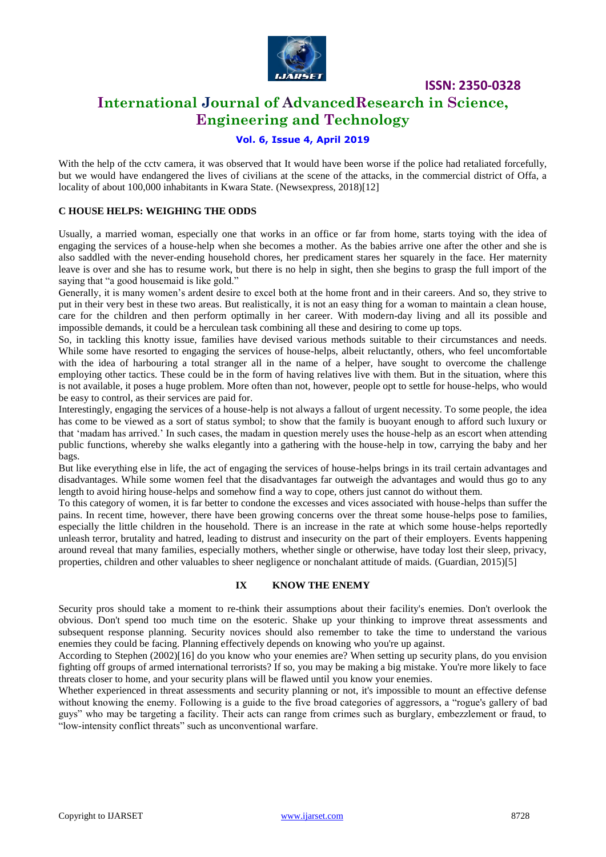

# **International Journal of AdvancedResearch in Science, Engineering and Technology**

# **Vol. 6, Issue 4, April 2019**

With the help of the cctv camera, it was observed that It would have been worse if the police had retaliated forcefully, but we would have endangered the lives of civilians at the scene of the attacks, in the commercial district of Offa, a locality of about 100,000 inhabitants in Kwara State. (Newsexpress, 2018)[12]

#### **C HOUSE HELPS: WEIGHING THE ODDS**

Usually, a married woman, especially one that works in an office or far from home, starts toying with the idea of engaging the services of a house-help when she becomes a mother. As the babies arrive one after the other and she is also saddled with the never-ending household chores, her predicament stares her squarely in the face. Her maternity leave is over and she has to resume work, but there is no help in sight, then she begins to grasp the full import of the saying that "a good housemaid is like gold."

Generally, it is many women"s ardent desire to excel both at the home front and in their careers. And so, they strive to put in their very best in these two areas. But realistically, it is not an easy thing for a woman to maintain a clean house, care for the children and then perform optimally in her career. With modern-day living and all its possible and impossible demands, it could be a herculean task combining all these and desiring to come up tops.

So, in tackling this knotty issue, families have devised various methods suitable to their circumstances and needs. While some have resorted to engaging the services of house-helps, albeit reluctantly, others, who feel uncomfortable with the idea of harbouring a total stranger all in the name of a helper, have sought to overcome the challenge employing other tactics. These could be in the form of having relatives live with them. But in the situation, where this is not available, it poses a huge problem. More often than not, however, people opt to settle for house-helps, who would be easy to control, as their services are paid for.

Interestingly, engaging the services of a house-help is not always a fallout of urgent necessity. To some people, the idea has come to be viewed as a sort of status symbol; to show that the family is buoyant enough to afford such luxury or that "madam has arrived." In such cases, the madam in question merely uses the house-help as an escort when attending public functions, whereby she walks elegantly into a gathering with the house-help in tow, carrying the baby and her bags.

But like everything else in life, the act of engaging the services of house-helps brings in its trail certain advantages and disadvantages. While some women feel that the disadvantages far outweigh the advantages and would thus go to any length to avoid hiring house-helps and somehow find a way to cope, others just cannot do without them.

To this category of women, it is far better to condone the excesses and vices associated with house-helps than suffer the pains. In recent time, however, there have been growing concerns over the threat some house-helps pose to families, especially the little children in the household. There is an increase in the rate at which some house-helps reportedly unleash terror, brutality and hatred, leading to distrust and insecurity on the part of their employers. Events happening around reveal that many families, especially mothers, whether single or otherwise, have today lost their sleep, privacy, properties, children and other valuables to sheer negligence or nonchalant attitude of maids. (Guardian, 2015)[5]

#### **IX KNOW THE ENEMY**

Security pros should take a moment to re-think their assumptions about their facility's enemies. Don't overlook the obvious. Don't spend too much time on the esoteric. Shake up your thinking to improve threat assessments and subsequent response planning. Security novices should also remember to take the time to understand the various enemies they could be facing. Planning effectively depends on knowing who you're up against.

According to Stephen (2002)[16] do you know who your enemies are? When setting up security plans, do you envision fighting off groups of armed international terrorists? If so, you may be making a big mistake. You're more likely to face threats closer to home, and your security plans will be flawed until you know your enemies.

Whether experienced in threat assessments and security planning or not, it's impossible to mount an effective defense without knowing the enemy. Following is a guide to the five broad categories of aggressors, a "rogue's gallery of bad guys" who may be targeting a facility. Their acts can range from crimes such as burglary, embezzlement or fraud, to "low-intensity conflict threats" such as unconventional warfare.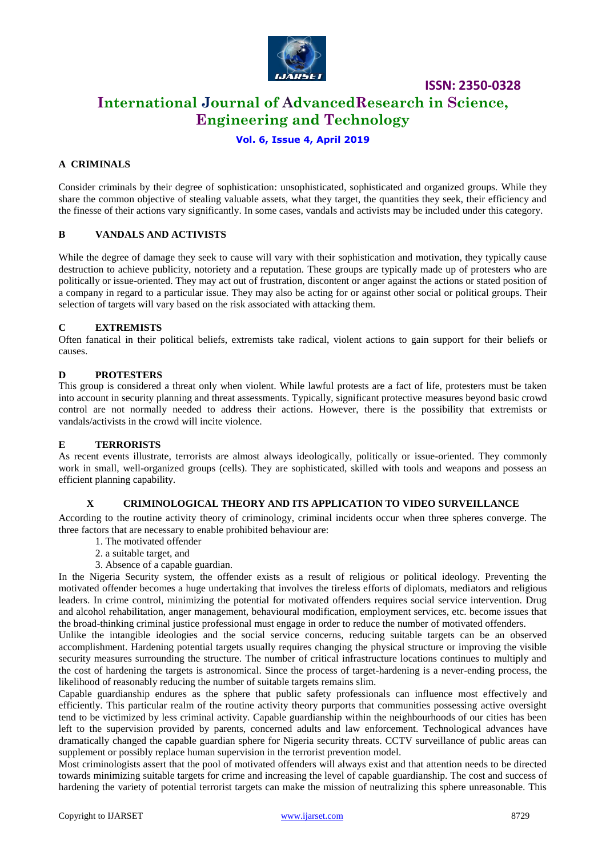

# **International Journal of AdvancedResearch in Science, Engineering and Technology**

# **Vol. 6, Issue 4, April 2019**

### **A CRIMINALS**

Consider criminals by their degree of sophistication: unsophisticated, sophisticated and organized groups. While they share the common objective of stealing valuable assets, what they target, the quantities they seek, their efficiency and the finesse of their actions vary significantly. In some cases, vandals and activists may be included under this category.

#### **B VANDALS AND ACTIVISTS**

While the degree of damage they seek to cause will vary with their sophistication and motivation, they typically cause destruction to achieve publicity, notoriety and a reputation. These groups are typically made up of protesters who are politically or issue-oriented. They may act out of frustration, discontent or anger against the actions or stated position of a company in regard to a particular issue. They may also be acting for or against other social or political groups. Their selection of targets will vary based on the risk associated with attacking them.

#### **C EXTREMISTS**

Often fanatical in their political beliefs, extremists take radical, violent actions to gain support for their beliefs or causes.

#### **D PROTESTERS**

This group is considered a threat only when violent. While lawful protests are a fact of life, protesters must be taken into account in security planning and threat assessments. Typically, significant protective measures beyond basic crowd control are not normally needed to address their actions. However, there is the possibility that extremists or vandals/activists in the crowd will incite violence.

#### **E TERRORISTS**

As recent events illustrate, terrorists are almost always ideologically, politically or issue-oriented. They commonly work in small, well-organized groups (cells). They are sophisticated, skilled with tools and weapons and possess an efficient planning capability.

#### **X CRIMINOLOGICAL THEORY AND ITS APPLICATION TO VIDEO SURVEILLANCE**

According to the routine activity theory of criminology, criminal incidents occur when three spheres converge. The three factors that are necessary to enable prohibited behaviour are:

- 1. The motivated offender
- 2. a suitable target, and
- 3. Absence of a capable guardian.

In the Nigeria Security system, the offender exists as a result of religious or political ideology. Preventing the motivated offender becomes a huge undertaking that involves the tireless efforts of diplomats, mediators and religious leaders. In crime control, minimizing the potential for motivated offenders requires social service intervention. Drug and alcohol rehabilitation, anger management, behavioural modification, employment services, etc. become issues that the broad-thinking criminal justice professional must engage in order to reduce the number of motivated offenders.

Unlike the intangible ideologies and the social service concerns, reducing suitable targets can be an observed accomplishment. Hardening potential targets usually requires changing the physical structure or improving the visible security measures surrounding the structure. The number of critical infrastructure locations continues to multiply and the cost of hardening the targets is astronomical. Since the process of target-hardening is a never-ending process, the likelihood of reasonably reducing the number of suitable targets remains slim.

Capable guardianship endures as the sphere that public safety professionals can influence most effectively and efficiently. This particular realm of the routine activity theory purports that communities possessing active oversight tend to be victimized by less criminal activity. Capable guardianship within the neighbourhoods of our cities has been left to the supervision provided by parents, concerned adults and law enforcement. Technological advances have dramatically changed the capable guardian sphere for Nigeria security threats. CCTV surveillance of public areas can supplement or possibly replace human supervision in the terrorist prevention model.

Most criminologists assert that the pool of motivated offenders will always exist and that attention needs to be directed towards minimizing suitable targets for crime and increasing the level of capable guardianship. The cost and success of hardening the variety of potential terrorist targets can make the mission of neutralizing this sphere unreasonable. This